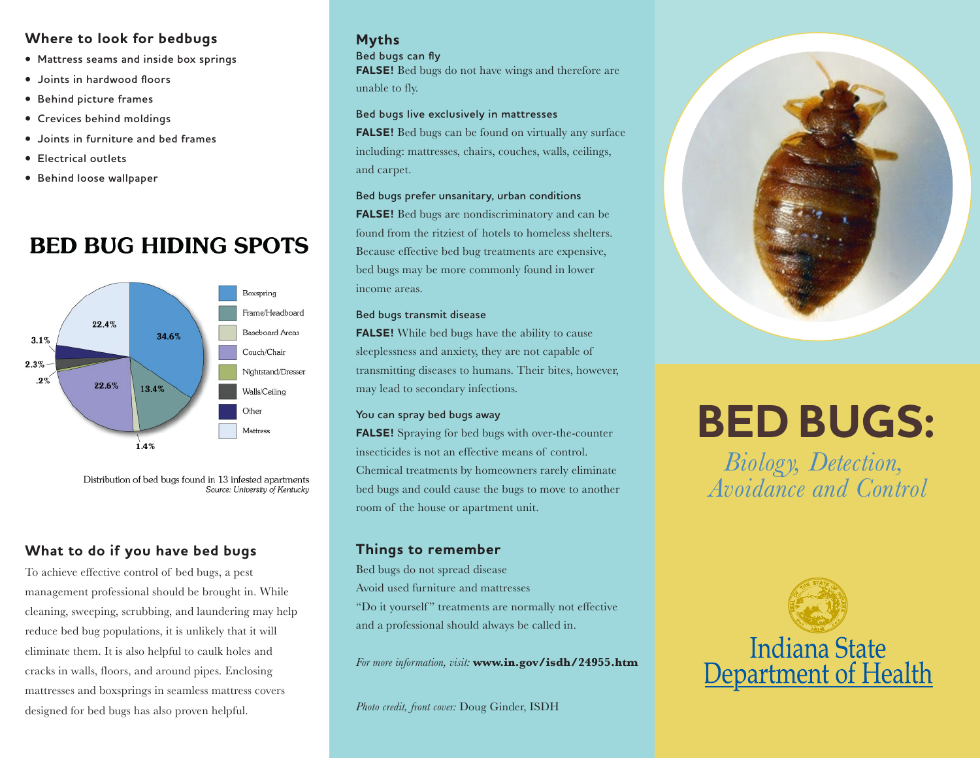#### **Where to look for bedbugs**

- **• Mattress seams and inside box springs**
- **• Joints in hardwood floors**
- **• Behind picture frames**
- **• Crevices behind moldings**
- **• Joints in furniture and bed frames**
- **• Electrical outlets**
- **• Behind loose wallpaper**

# **BED BUG HIDING SPOTS**



Distribution of bed bugs found in 13 infested apartments Source: University of Kentucky

## **What to do if you have bed bugs**

To achieve effective control of bed bugs, a pest management professional should be brought in. While cleaning, sweeping, scrubbing, and laundering may help reduce bed bug populations, it is unlikely that it will eliminate them. It is also helpful to caulk holes and cracks in walls, floors, and around pipes. Enclosing mattresses and boxsprings in seamless mattress covers designed for bed bugs has also proven helpful.

## **Myths**

#### **Bed bugs can fly**

**FALSE!** Bed bugs do not have wings and therefore are unable to fly.

#### **Bed bugs live exclusively in mattresses**

**FALSE!** Bed bugs can be found on virtually any surface including: mattresses, chairs, couches, walls, ceilings, and carpet.

#### **Bed bugs prefer unsanitary, urban conditions**

**FALSE!** Bed bugs are nondiscriminatory and can be found from the ritziest of hotels to homeless shelters. Because effective bed bug treatments are expensive, bed bugs may be more commonly found in lower income areas.

#### **Bed bugs transmit disease**

**FALSE!** While bed bugs have the ability to cause sleeplessness and anxiety, they are not capable of transmitting diseases to humans. Their bites, however, may lead to secondary infections.

#### **You can spray bed bugs away**

**FALSE!** Spraying for bed bugs with over-the-counter insecticides is not an effective means of control. Chemical treatments by homeowners rarely eliminate bed bugs and could cause the bugs to move to another room of the house or apartment unit.

### **Things to remember**

Bed bugs do not spread disease Avoid used furniture and mattresses "Do it yourself" treatments are normally not effective and a professional should always be called in.

*For more information, visit:* **www.in.gov/isdh/24955.htm**

*Photo credit, front cover:* Doug Ginder, ISDH



# **BED BUGS:**

*Biology, Detection, Avoidance and Control*